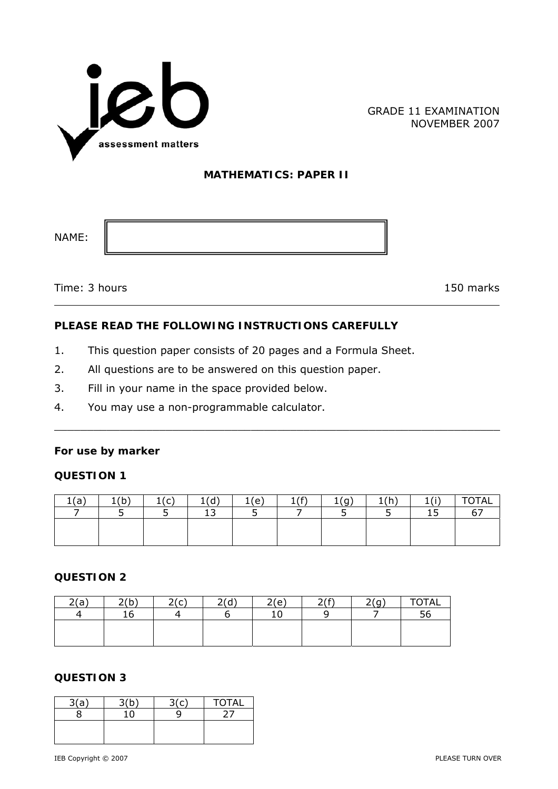

GRADE 11 EXAMINATION NOVEMBER 2007

#### **MATHEMATICS: PAPER II**

NAME:

Time: 3 hours 150 marks

# **PLEASE READ THE FOLLOWING INSTRUCTIONS CAREFULLY**

- 1. This question paper consists of 20 pages and a Formula Sheet.
- 2. All questions are to be answered on this question paper.
- 3. Fill in your name in the space provided below.
- 4. You may use a non-programmable calculator.

#### **For use by marker**

### **QUESTION 1**

| ′ –<br>tta, | ィノレー<br>. . | 1/r<br>ັ<br>۰ | しんし<br>ч<br><b>.</b>          | (e) | 1/5<br>-- | У. | 1/h<br><u>.</u><br>. . | 1(i)<br>÷. | <b>TOTAL</b> |
|-------------|-------------|---------------|-------------------------------|-----|-----------|----|------------------------|------------|--------------|
|             |             |               | $\overline{\phantom{a}}$<br>ᅩ | ــ  |           |    |                        | --<br>ᅩ    |              |
|             |             |               |                               |     |           |    |                        |            |              |
|             |             |               |                               |     |           |    |                        |            |              |
|             |             |               |                               |     |           |    |                        |            |              |

 $\_$  , and the contribution of the contribution of  $\mathcal{L}_\mathcal{A}$  , and the contribution of  $\mathcal{L}_\mathcal{A}$ 

#### **QUESTION 2**

| 2(a) | 7/h          | 76<br>◡ | 7(A) | 2(e) | 7(f) | 2(n)<br>ิษ | <b>TOTAL</b> |
|------|--------------|---------|------|------|------|------------|--------------|
|      | $\sim$<br>Τp |         |      |      |      |            | $\mathbf{r}$ |
|      |              |         |      |      |      |            |              |
|      |              |         |      |      |      |            |              |

## **QUESTION 3**

| 3(a) | つんい | <b>TOTAL</b> |
|------|-----|--------------|
|      |     |              |
|      |     |              |
|      |     |              |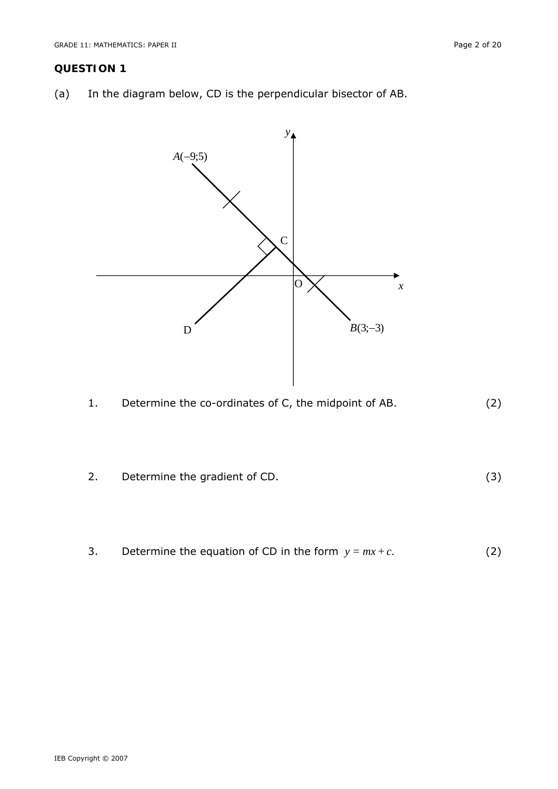#### **QUESTION 1**

(a) In the diagram below, CD is the perpendicular bisector of AB.





- 2. Determine the gradient of CD. (3)
- 3. Determine the equation of CD in the form  $y = mx + c$ . (2)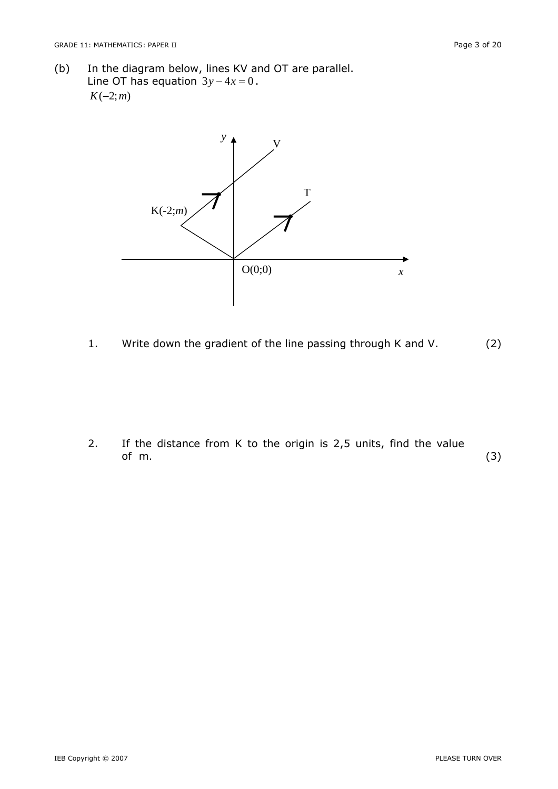(b) In the diagram below, lines KV and OT are parallel. Line OT has equation  $3y - 4x = 0$ . *K*(−2;*m*)



1. Write down the gradient of the line passing through K and V. (2)

2. If the distance from K to the origin is 2,5 units, find the value of *m.* (3)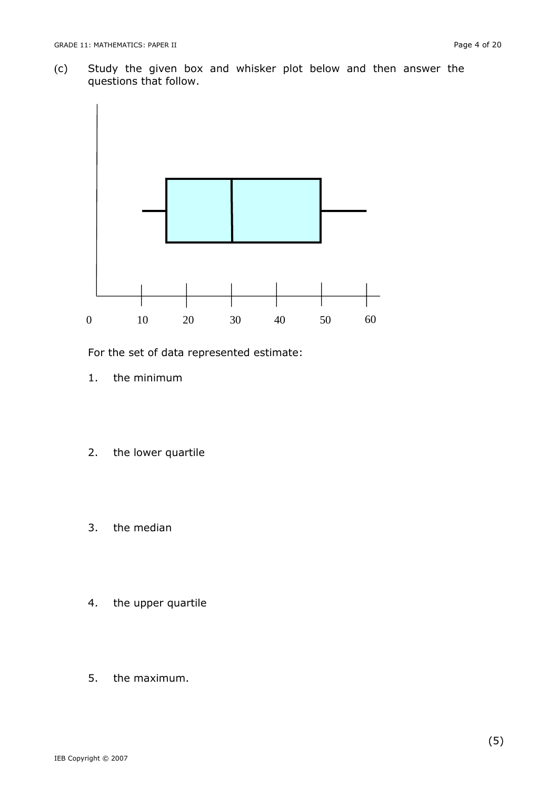(c) Study the given box and whisker plot below and then answer the questions that follow.



For the set of data represented estimate:

- 1. the minimum
- 2. the lower quartile
- 3. the median
- 4. the upper quartile
- 5. the maximum.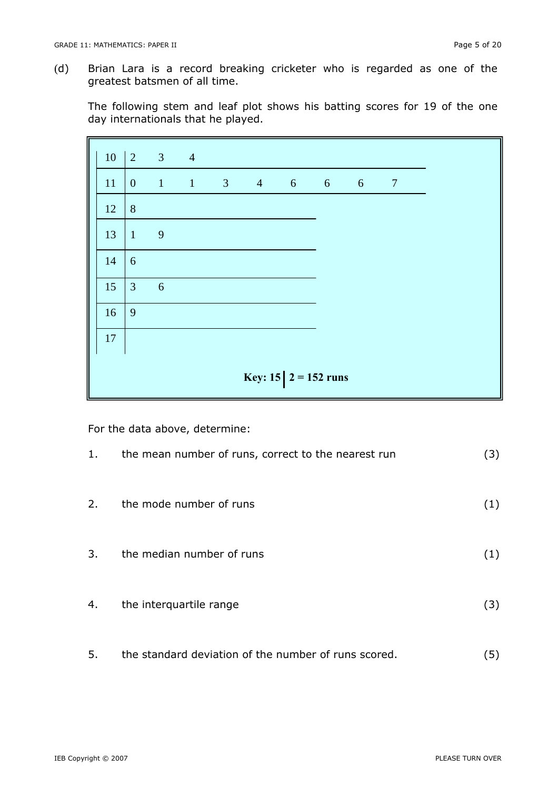(d) Brian Lara is a record breaking cricketer who is regarded as one of the greatest batsmen of all time.

The following stem and leaf plot shows his batting scores for 19 of the one day internationals that he played.

| 10                      | $\vert 2 \vert$  | $3 \t 4$       |              |  |          |  |                     |  |                |  |
|-------------------------|------------------|----------------|--------------|--|----------|--|---------------------|--|----------------|--|
| 11                      | $\boldsymbol{0}$ | $\mathbf{1}$   | $\mathbf{1}$ |  | $3 \t 4$ |  | $6\qquad 6\qquad 6$ |  | $\overline{7}$ |  |
| 12                      | $8\phantom{1}$   |                |              |  |          |  |                     |  |                |  |
| 13                      | $\mathbf{1}$     | $\overline{9}$ |              |  |          |  |                     |  |                |  |
| 14                      | 6                |                |              |  |          |  |                     |  |                |  |
| 15                      | $\mathfrak{Z}$   | 6              |              |  |          |  |                     |  |                |  |
| 16                      | 9                |                |              |  |          |  |                     |  |                |  |
| 17                      |                  |                |              |  |          |  |                     |  |                |  |
| Key: 15 $ 2 = 152$ runs |                  |                |              |  |          |  |                     |  |                |  |

For the data above, determine:

| 1. | the mean number of runs, correct to the nearest run  | (3) |
|----|------------------------------------------------------|-----|
| 2. | the mode number of runs                              | (1) |
| 3. | the median number of runs                            | (1) |
| 4. | the interquartile range                              | (3) |
| 5. | the standard deviation of the number of runs scored. | (5) |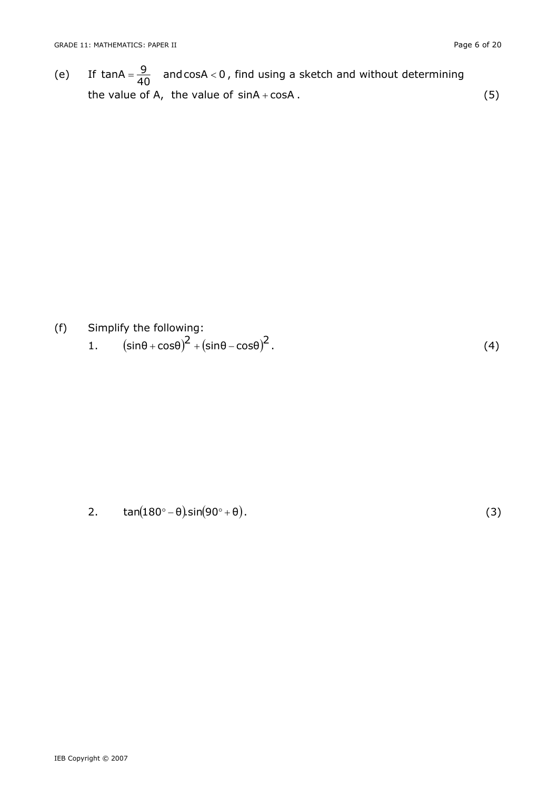(e) If tanA =  $\frac{9}{40}$  and cosA < 0, find using a sketch and without determining the value of A, the value of  $sinA + cosA$ . (5)

- (f) Simplify the following:
	- 1.  $\left( \sin\theta + \cos\theta \right)^2 + \left( \sin\theta \cos\theta \right)^2$ . (4)

2.  $\tan(180^\circ - \theta) \sin(90^\circ + \theta)$ . (3)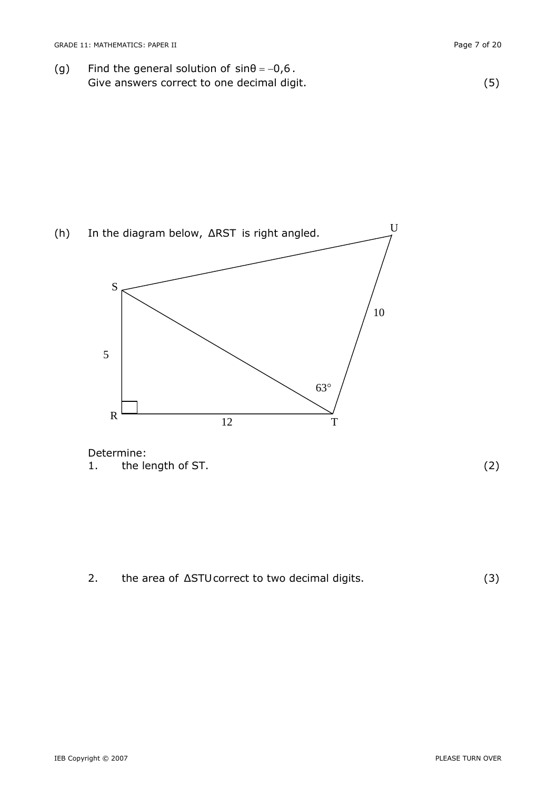(g) Find the general solution of  $sin\theta = -0.6$ . Give answers correct to one decimal digit. (5)

(h) In the diagram below, ΔRST is right angled. S 5 63° 10

Determine: 1. the length of ST. (2)



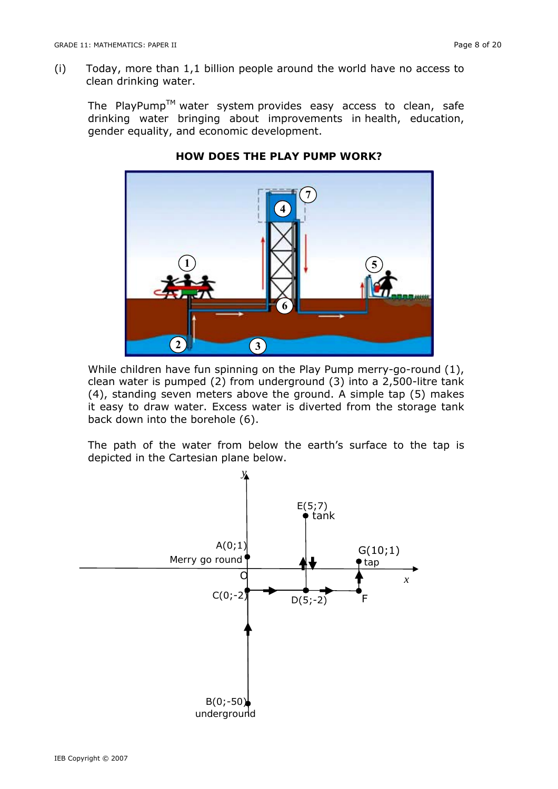(i) Today, more than 1,1 billion people around the world have no access to clean drinking water.

The PlayPump<sup>TM</sup> water system provides easy access to clean, safe drinking water bringing about improvements in health, education, gender equality, and economic development.



# **HOW DOES THE PLAY PUMP WORK?**

While children have fun spinning on the Play Pump merry-go-round (1), clean water is pumped (2) from underground (3) into a 2,500-litre tank (4), standing seven meters above the ground. A simple tap (5) makes it easy to draw water. Excess water is diverted from the storage tank back down into the borehole (6).

The path of the water from below the earth's surface to the tap is depicted in the Cartesian plane below.

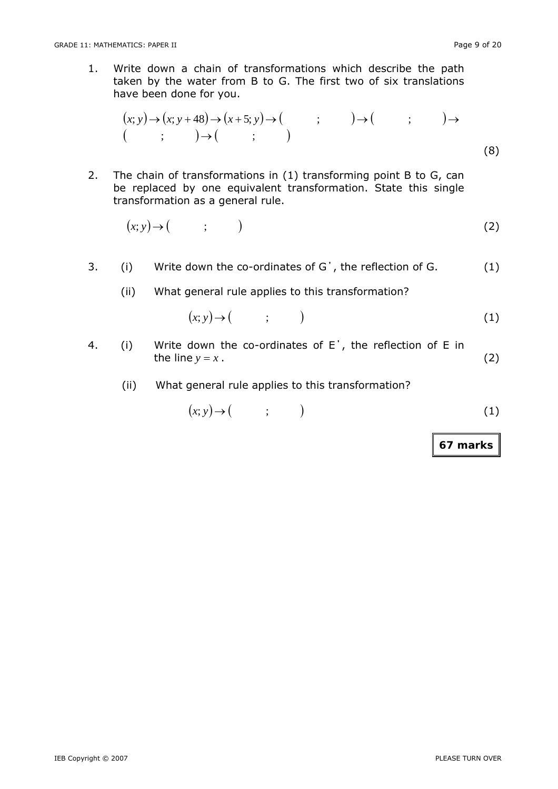1. Write down a chain of transformations which describe the path taken by the water from B to G. The first two of six translations have been done for you.

$$
(x; y) \rightarrow (x; y+48) \rightarrow (x+5; y) \rightarrow (y+5; y) \rightarrow (z+5; y) \rightarrow (z+5; y) \rightarrow (z+5; y) \rightarrow (z+5; y) \rightarrow (z+5; y) \rightarrow (z+5; y) \rightarrow (z+5; y) \rightarrow (z+5; y) \rightarrow (z+5; y) \rightarrow (z+5; y) \rightarrow (z+5; y) \rightarrow (z+5; y) \rightarrow (z+5; y) \rightarrow (z+5; y) \rightarrow (z+5; y) \rightarrow (z+5; y) \rightarrow (z+5; y) \rightarrow (z+5; y) \rightarrow (z+5; y) \rightarrow (z+5; y) \rightarrow (z+5; y) \rightarrow (z+5; y) \rightarrow (z+5; y) \rightarrow (z+5; y) \rightarrow (z+5; y) \rightarrow (z+5; y) \rightarrow (z+5; y) \rightarrow (z+5; y) \rightarrow (z+5; y) \rightarrow (z+5; y) \rightarrow (z+5; y) \rightarrow (z+5; y) \rightarrow (z+5; y) \rightarrow (z+5; y) \rightarrow (z+5; y) \rightarrow (z+5; y) \rightarrow (z+5; y) \rightarrow (z+5; y) \rightarrow (z+5; y) \rightarrow (z+5; y) \rightarrow (z+5; y) \rightarrow (z+5; y) \rightarrow (z+5; y) \rightarrow (z+5; y) \rightarrow (z+5; y) \rightarrow (z+5; y) \rightarrow (z+5; y) \rightarrow (z+5; y) \rightarrow (z+5; y) \rightarrow (z+5; y) \rightarrow (z+5; y) \rightarrow (z+5; y) \rightarrow (z+5; y) \rightarrow (z+5; y) \rightarrow (z+5; y) \rightarrow (z+5; y) \rightarrow (z+5; y) \rightarrow (z+5; y) \rightarrow (z+5; y) \rightarrow (z+5; y) \rightarrow (z+5; y) \rightarrow (z+5; y) \rightarrow (z+5; y) \rightarrow (z+5; y) \rightarrow (z+5; y) \rightarrow (z+5; y) \rightarrow (z+5; y) \rightarrow (z+5; y) \rightarrow (z+5; y) \rightarrow (z+5; y) \rightarrow (z+5; y) \rightarrow (z+5; y) \rightarrow (z+5; y) \rightarrow (z+5; y) \rightarrow (z+5; y) \rightarrow (z+5; y) \rightarrow (z+5; y) \rightarrow (z+5; y) \rightarrow (z+5; y) \rightarrow (z+5; y) \rightarrow (z+5;
$$

2. The chain of transformations in (1) transforming point B to G, can be replaced by one equivalent transformation. State this single transformation as a general rule.

$$
(x; y) \to (\hspace{1cm} ; \hspace{1cm} ) \hspace{3cm} (2)
$$

- 3. (i) Write down the co-ordinates of G΄, the reflection of G. (1)
	- (ii) What general rule applies to this transformation?

$$
(x; y) \rightarrow (x; y) \tag{1}
$$

- 4. (i) Write down the co-ordinates of E΄, the reflection of E in the line  $y = x$ . (2)
	- (ii) What general rule applies to this transformation?

$$
(x; y) \rightarrow (x; y) \tag{1}
$$

**67 marks**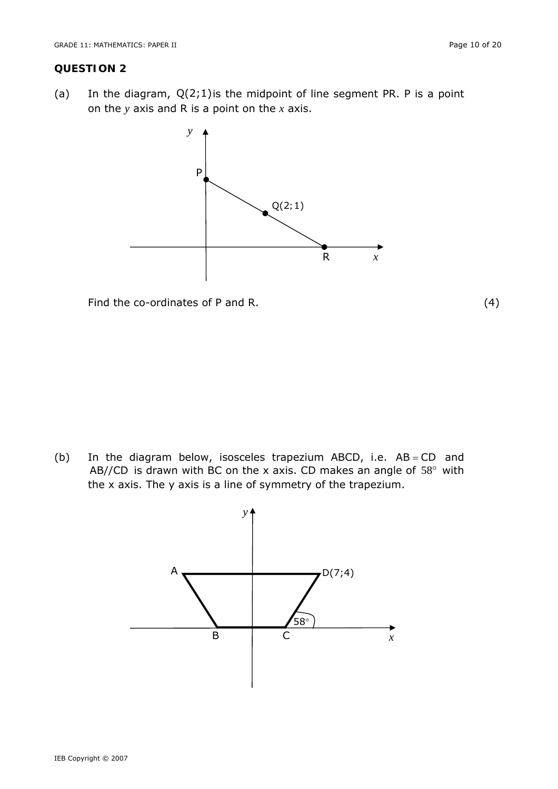#### **QUESTION 2**

(a) In the diagram,  $Q(2,1)$  is the midpoint of line segment PR. P is a point on the *y* axis and R is a point on the *x* axis.



Find the co-ordinates of P and R. (4)

(b) In the diagram below, isosceles trapezium ABCD, i.e.  $AB = CD$  and AB//CD is drawn with BC on the *x* axis. CD makes an angle of 58° with the *x* axis. The y axis is a line of symmetry of the trapezium.

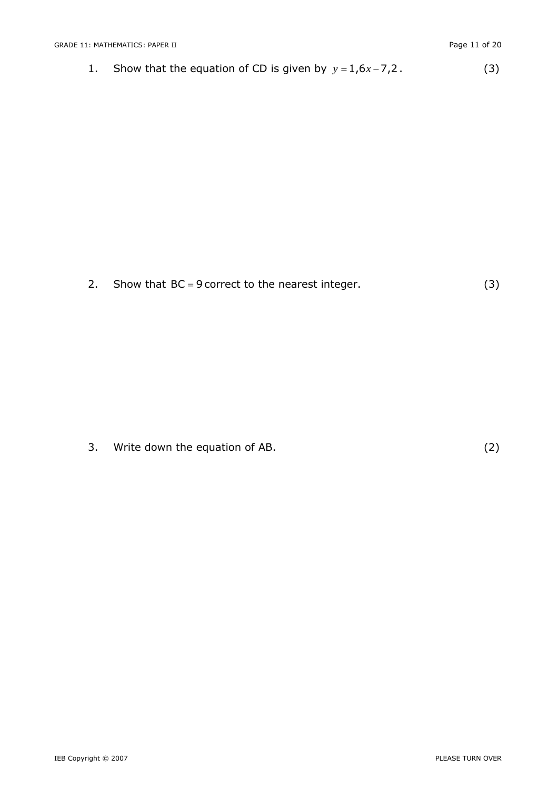1. Show that the equation of CD is given by  $y = 1,6x - 7,2$ . (3)

2. Show that  $BC = 9$  correct to the nearest integer. (3)

3. Write down the equation of AB. (2)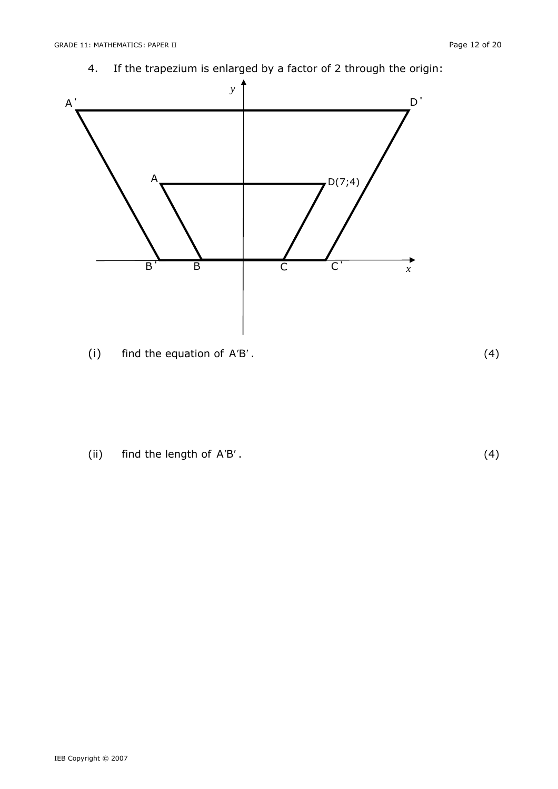4. If the trapezium is enlarged by a factor of 2 through the origin:



(i) find the equation of A′B′ . (4)

(ii) find the length of A′B′ . (4)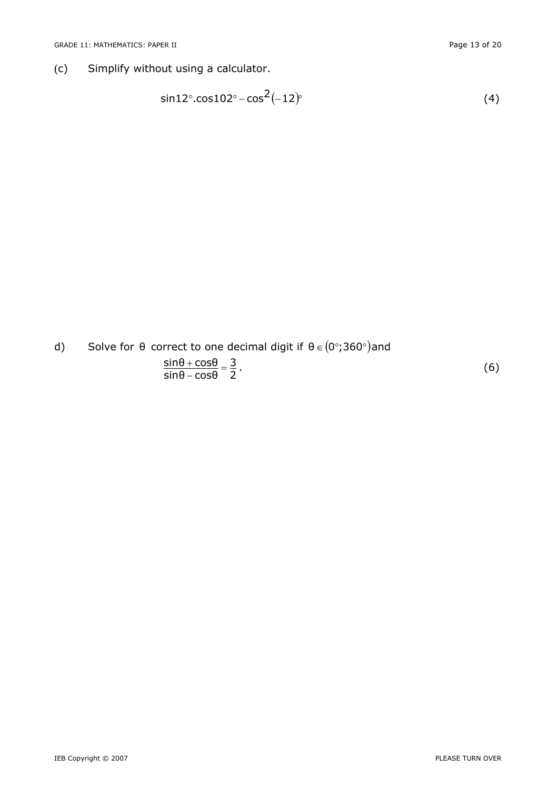(c) Simplify without using a calculator.

$$
\sin 12^\circ \cdot \cos 102^\circ - \cos^2(-12)^\circ \tag{4}
$$

d) Solve for  $\theta$  correct to one decimal digit if  $\theta \in (0^{\circ}; 360^{\circ})$ and  $\frac{{\rm sin}\theta+{\rm cos}\theta}{ {\rm sin}\theta-{\rm cos}\theta}=\frac{3}{2}$  $\frac{\sin\theta + \cos\theta}{\sin\theta - \cos\theta} = \frac{3}{2}$ . (6)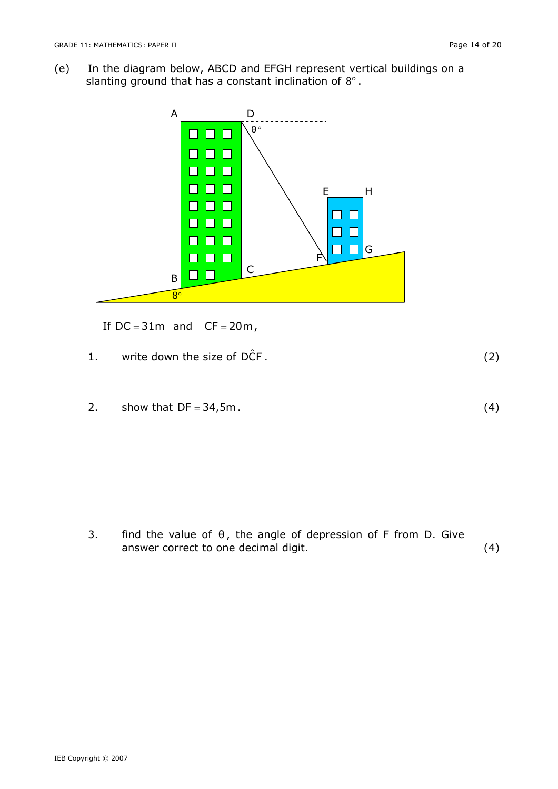(e) In the diagram below, ABCD and EFGH represent vertical buildings on a slanting ground that has a constant inclination of  $8^\circ$ .



If  $DC = 31m$  and  $CF = 20m$ ,

1. write down the size of  $D\hat{C}F$ . (2)

2. show that  $DF = 34,5m$ . (4)

3. find the value of  $\theta$ , the angle of depression of F from D. Give answer correct to one decimal digit. (4)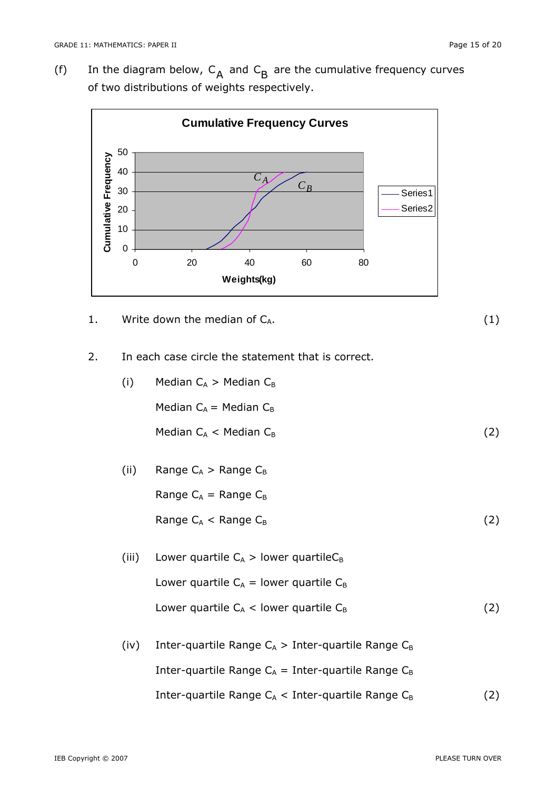(f) In the diagram below,  $C_A$  and  $C_B$  are the cumulative frequency curves of two distributions of weights respectively.



1. Write down the median of  $C_A$ .  $(1)$ 

2. In each case circle the statement that is correct.

| (i) | Median $C_A > M$ edian $C_B$ |     |
|-----|------------------------------|-----|
|     | Median $C_A$ = Median $C_B$  |     |
|     | Median $C_A$ < Median $C_B$  | (2) |

(ii) Range 
$$
C_A
$$
 > Range  $C_B$   
Range  $C_A$  = Range  $C_B$   
Range  $C_A$  < Range  $C_B$  (2)

- (iii) Lower quartile  $C_A >$  lower quartile  $C_B$ Lower quartile  $C_A$  = lower quartile  $C_B$ Lower quartile  $C_A$  < lower quartile  $C_B$  (2)
- (iv) Inter-quartile Range  $C_A >$  Inter-quartile Range  $C_B$ Inter-quartile Range  $C_A$  = Inter-quartile Range  $C_B$ Inter-quartile Range  $C_A$  < Inter-quartile Range  $C_B$  (2)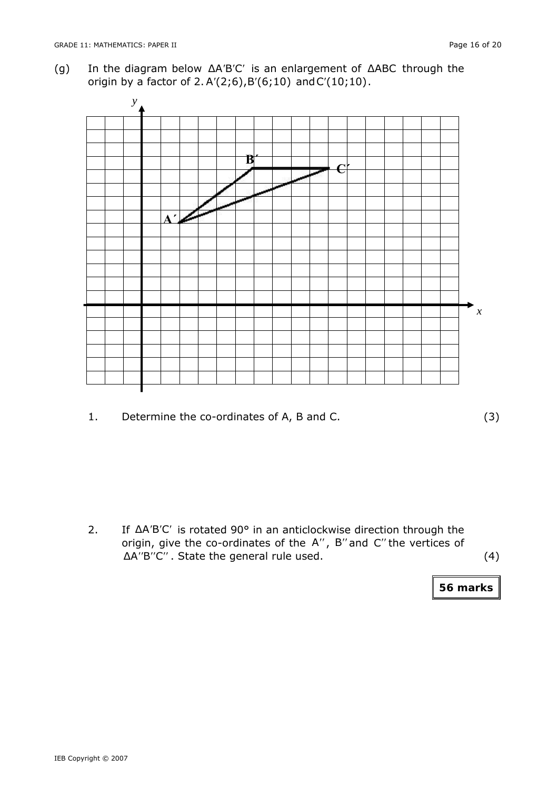(g) In the diagram below ΔA'B'C' is an enlargement of ΔABC through the origin by a factor of 2.A′(2;6),B′(6;10) andC′(10;10).



1. Determine the co-ordinates of A, B and C. (3)

2. If ΔA′B′C′ is rotated 90° in an anticlockwise direction through the origin, give the co-ordinates of the A′′, B′′and C′′the vertices of ΔA′′B′′C′′ . State the general rule used. (4)

**56 marks**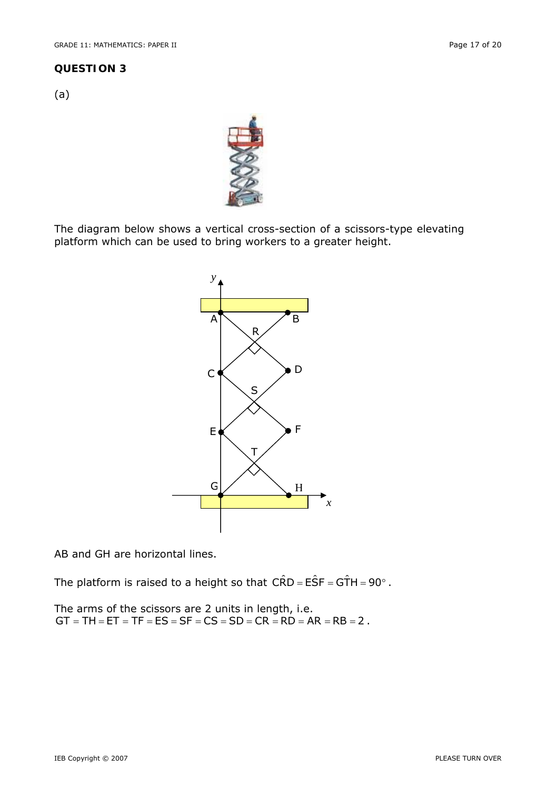#### **QUESTION 3**

(a)



The diagram below shows a vertical cross-section of a scissors-type elevating platform which can be used to bring workers to a greater height.



AB and GH are horizontal lines.

The platform is raised to a height so that  $C\hat{R}D = E\hat{S}F = G\hat{T}H = 90^\circ$ .

The arms of the scissors are 2 units in length, i.e.  $GT = TH = ET = TF = ES = SF = CS = SD = CR = RD = AR = RB = 2$ .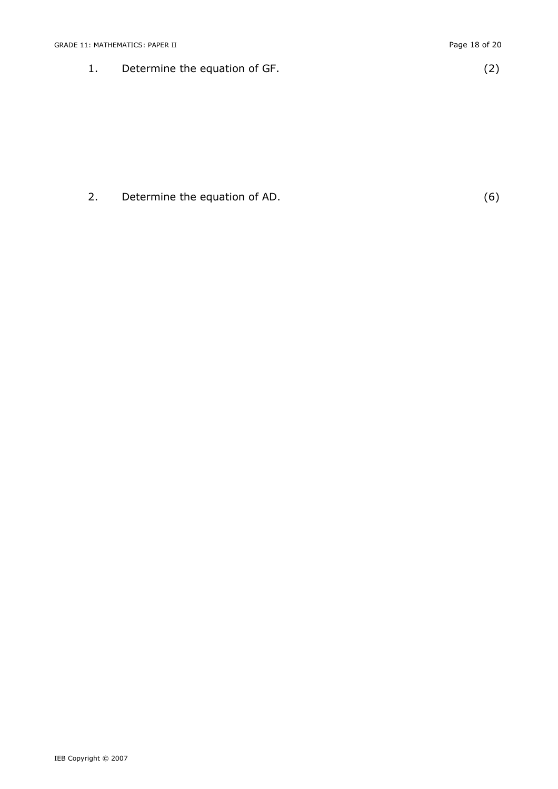1. Determine the equation of GF. (2)

# 2. Determine the equation of AD. (6)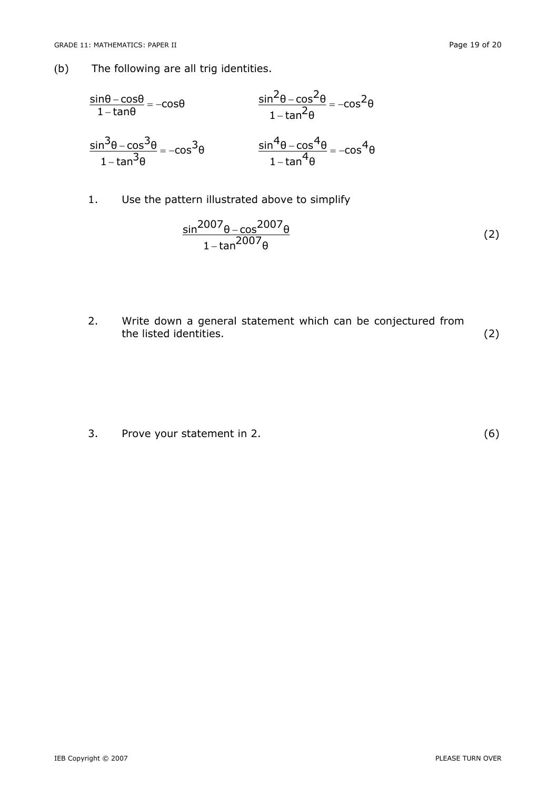(b) The following are all trig identities.

$$
\frac{\sin\theta - \cos\theta}{1 - \tan\theta} = -\cos\theta
$$
\n
$$
\frac{\sin^{2}\theta - \cos^{2}\theta}{1 - \tan^{2}\theta} = -\cos^{2}\theta
$$
\n
$$
\frac{\sin^{3}\theta - \cos^{3}\theta}{1 - \tan^{3}\theta} = -\cos^{3}\theta
$$
\n
$$
\frac{\sin^{4}\theta - \cos^{4}\theta}{1 - \tan^{4}\theta} = -\cos^{4}\theta
$$

1. Use the pattern illustrated above to simplify

$$
\frac{\sin^{2007}\theta - \cos^{2007}\theta}{1 - \tan^{2007}\theta}
$$
 (2)

2. Write down a general statement which can be conjectured from the listed identities. (2)

3. Prove your statement in 2. (6)